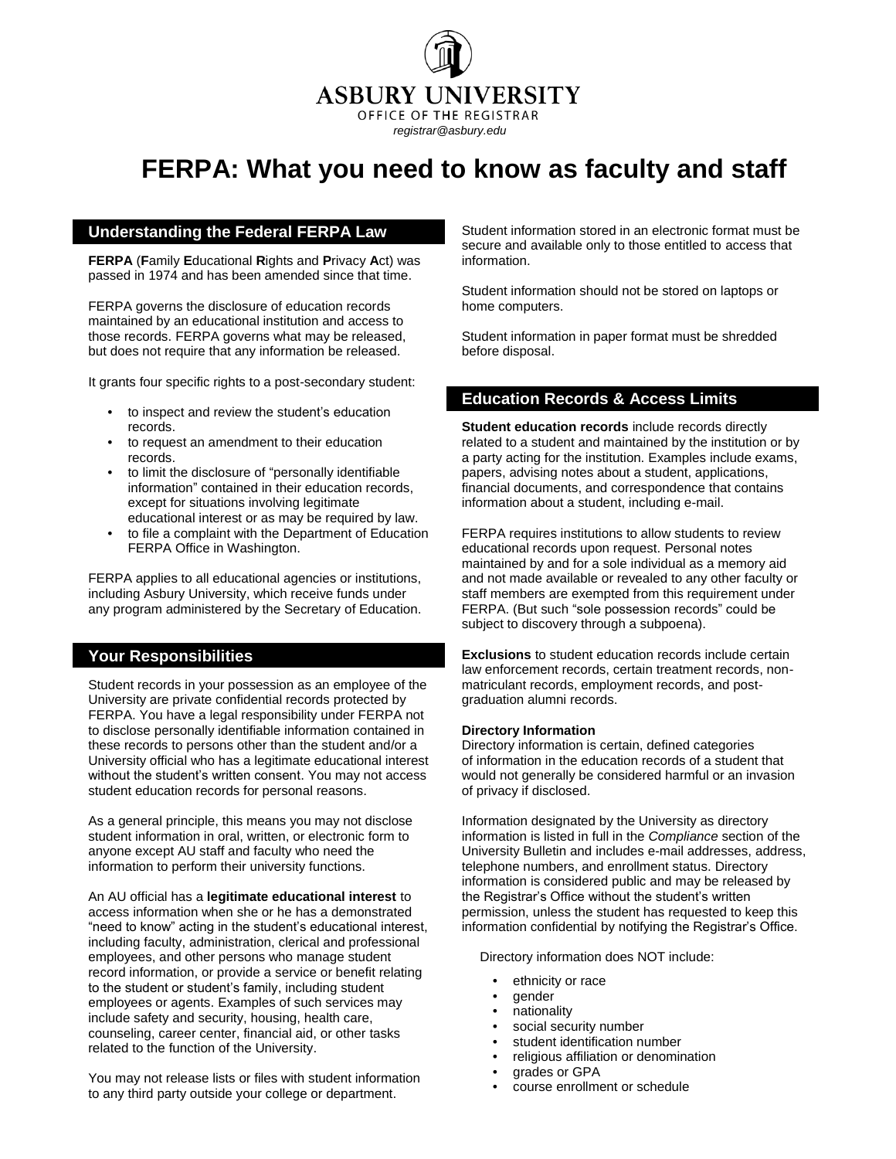**ASBURY UNIVERSITY** OFFICE OF THE REGISTRAR

*registrar@asbury.edu*

# **FERPA: What you need to know as faculty and staff**

## **Understanding the Federal FERPA Law**

**FERPA** (**F**amily **E**ducational **R**ights and **P**rivacy **A**ct) was passed in 1974 and has been amended since that time.

FERPA governs the disclosure of education records maintained by an educational institution and access to those records. FERPA governs what may be released, but does not require that any information be released.

It grants four specific rights to a post-secondary student:

- to inspect and review the student's education records.
- to request an amendment to their education records.
- to limit the disclosure of "personally identifiable information" contained in their education records, except for situations involving legitimate educational interest or as may be required by law.
- to file a complaint with the Department of Education FERPA Office in Washington.

FERPA applies to all educational agencies or institutions, including Asbury University, which receive funds under any program administered by the Secretary of Education.

### **Your Responsibilities**

Student records in your possession as an employee of the University are private confidential records protected by FERPA. You have a legal responsibility under FERPA not to disclose personally identifiable information contained in these records to persons other than the student and/or a University official who has a legitimate educational interest without the student's written consent. You may not access student education records for personal reasons.

As a general principle, this means you may not disclose student information in oral, written, or electronic form to anyone except AU staff and faculty who need the information to perform their university functions.

An AU official has a **legitimate educational interest** to access information when she or he has a demonstrated "need to know" acting in the student's educational interest, including faculty, administration, clerical and professional employees, and other persons who manage student record information, or provide a service or benefit relating to the student or student's family, including student employees or agents. Examples of such services may include safety and security, housing, health care, counseling, career center, financial aid, or other tasks related to the function of the University.

You may not release lists or files with student information to any third party outside your college or department.

Student information stored in an electronic format must be secure and available only to those entitled to access that information.

Student information should not be stored on laptops or home computers.

Student information in paper format must be shredded before disposal.

## **Education Records & Access Limits**

**Student education records** include records directly related to a student and maintained by the institution or by a party acting for the institution. Examples include exams, papers, advising notes about a student, applications, financial documents, and correspondence that contains information about a student, including e-mail.

FERPA requires institutions to allow students to review educational records upon request. Personal notes maintained by and for a sole individual as a memory aid and not made available or revealed to any other faculty or staff members are exempted from this requirement under FERPA. (But such "sole possession records" could be subject to discovery through a subpoena).

**Exclusions** to student education records include certain law enforcement records, certain treatment records, nonmatriculant records, employment records, and postgraduation alumni records.

#### **Directory Information**

Directory information is certain, defined categories of information in the education records of a student that would not generally be considered harmful or an invasion of privacy if disclosed.

Information designated by the University as directory information is listed in full in the *Compliance* section of the University Bulletin and includes e-mail addresses, address, telephone numbers, and enrollment status. Directory information is considered public and may be released by the Registrar's Office without the student's written permission, unless the student has requested to keep this information confidential by notifying the Registrar's Office.

Directory information does NOT include:

- ethnicity or race
- gender
- nationality
- social security number
- student identification number
- religious affiliation or denomination
- grades or GPA
- course enrollment or schedule